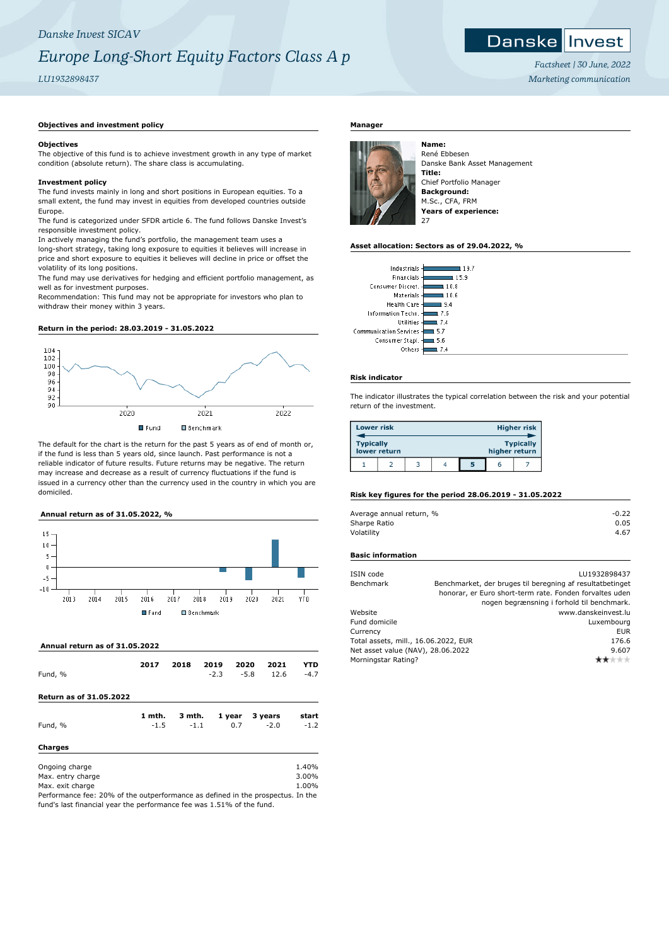## *Danske Invest SICAV Europe Long-Short Equity Factors Class A p*

### *LU1932898437*

## **Danske Invest**

*Factsheet | 30 June, 2022 Marketing communication*

#### **Objectives and investment policy**

#### **Objectives**

The objective of this fund is to achieve investment growth in any type of market condition (absolute return). The share class is accumulating.

#### **Investment policy**

The fund invests mainly in long and short positions in European equities. To a small extent, the fund may invest in equities from developed countries outside Europe.

The fund is categorized under SFDR article 6. The fund follows Danske Invest's responsible investment policy.

In actively managing the fund's portfolio, the management team uses a long-short strategy, taking long exposure to equities it believes will increase in price and short exposure to equities it believes will decline in price or offset the volatility of its long positions.

The fund may use derivatives for hedging and efficient portfolio management, as well as for investment purposes.

Recommendation: This fund may not be appropriate for investors who plan to withdraw their money within 3 years.

#### **Return in the period: 28.03.2019 - 31.05.2022**



The default for the chart is the return for the past 5 years as of end of month or, if the fund is less than 5 years old, since launch. Past performance is not a reliable indicator of future results. Future returns may be negative. The return may increase and decrease as a result of currency fluctuations if the fund is issued in a currency other than the currency used in the country in which you are domiciled.

#### **Annual return as of 31.05.2022, %**



 **Annual return as of 31.05.2022**

| Fund, %                                                 | 2017             | 2018             | 2019<br>$-2.3$ | 2020<br>$-5.8$ | 2021<br>12.6      | YTD<br>$-4.7$           |
|---------------------------------------------------------|------------------|------------------|----------------|----------------|-------------------|-------------------------|
| Return as of 31.05.2022                                 |                  |                  |                |                |                   |                         |
| Fund, %                                                 | 1 mth.<br>$-1.5$ | 3 mth.<br>$-1.1$ |                | 1 year<br>0.7  | 3 years<br>$-2.0$ | start<br>$-1.2$         |
| <b>Charges</b>                                          |                  |                  |                |                |                   |                         |
| Ongoing charge<br>Max. entry charge<br>Max. exit charge |                  |                  |                |                |                   | 1.40%<br>3.00%<br>1.00% |

Performance fee: 20% of the outperformance as defined in the prospectus. In the fund's last financial year the performance fee was 1.51% of the fund.

#### **Manager**



René Ebbesen Danske Bank Asset Management **Title:** Chief Portfolio Manager **Background:** M.Sc., CFA, FRM **Years of experience:**  $27$ 

#### **Asset allocation: Sectors as of 29.04.2022, %**

| Industrials                          |      |
|--------------------------------------|------|
| Financials                           | 15.9 |
| Consumer Discret.<br>10.8            |      |
| Materials<br>10.6                    |      |
| <b>Health Care</b><br>l 9.4          |      |
| Information Techn.<br>17.6           |      |
| Utilities<br>l 7.4                   |      |
| <b>Communication Services</b><br>5.7 |      |
| Consumer Stapl.<br>5.6               |      |
| Others                               |      |

#### **Risk indicator**

The indicator illustrates the typical correlation between the risk and your potential return of the investment.

|                  | Lower risk<br><b>Higher risk</b> |  |  |   |               |                  |
|------------------|----------------------------------|--|--|---|---------------|------------------|
| <b>Typically</b> | lower return                     |  |  |   | higher return | <b>Typically</b> |
|                  |                                  |  |  | 5 | n             |                  |

#### **Risk key figures for the period 28.06.2019 - 31.05.2022**

| Average annual return, % | $-0.22$ |
|--------------------------|---------|
| Sharpe Ratio             | 0.05    |
| Volatility               | 4.67    |

#### **Basic information**

| ISIN code                            | LU1932898437                                              |
|--------------------------------------|-----------------------------------------------------------|
| Benchmark                            | Benchmarket, der bruges til beregning af resultatbetinget |
|                                      | honorar, er Euro short-term rate. Fonden forvaltes uden   |
|                                      | nogen begrænsning i forhold til benchmark.                |
| Website                              | www.danskeinvest.lu                                       |
| Fund domicile                        | Luxembourg                                                |
| Currency                             | <b>EUR</b>                                                |
| Total assets, mill., 16.06.2022, EUR | 176.6                                                     |
| Net asset value (NAV), 28.06.2022    | 9.607                                                     |
| Morningstar Rating?                  |                                                           |
|                                      |                                                           |